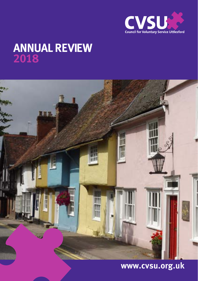

# **Annual Review 2018**



# **www.cvsu.org.uk**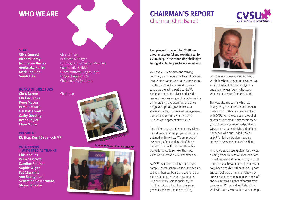# **whO we ARe**

### **ChAiRMAn'S RePORT**  Chairman Chris Barrett



#### **STAFF**

Clive Emmett Chief Officer **Richard Corby Business Manager** Agnieszka Korfel **Community Builder Sarah Eley** Dragons Apprentice

**Jacqueline Davies** Funding & Information Manager **Mark Ropkins Green Matters Project Lead** Challenge Project Lead

#### **BOARD OF DiReCTORS**

Chris Barrett Chairman Cllr Eric Hicks Doug Mason Pamela Sharp Gill Butterworth Cathy Gooding James Taylor Clare Morris

**PReSiDenT** Rt. Hon. Kemi Badenoch MP

#### **vOlunTeeRS – wiTh SPeCiAl ThAnkS**

Chis Noakes Val Wheatcroft Caroline Pannett Sophie Wigan Pat Churchill Ann Sadaghiani Sebastian Southcombe Shaun Wheeler



Trustees and Patron Kemi Badenoch MP



I am pleased to report that 2018 was another successful and eventful year for CVSU, despite the continuing challenges facing all voluntary sector organisations.

We continue to promote the thriving voluntary & community sector in Uttlesford, through the events we arrange and support and the different forums and networks where we are active participants. We continue to provide advice and a wide range of services, ranging from information on fundraising opportunities, or advice on good corporate governance and strategy, through to financial management, data protection and even assistance with the development of websites.

 In addition to core infrastructure services, we deliver a variety of projects which are outlined in this review. We are proud of the quality of our work on all of these initiatives and of the very real benefits being delivered to some of the most vulnerable members of our community.

As CVSU is becomes a larger and more complex organisation, we took the decision to strengthen our board this year and are pleased to appoint three new trustees with experience across business, the health service and public sector more generally. We are already benefiting



from the fresh ideas and enthusiasm, which they bring to our organisation. We would also like to thank Carol James, one of our longest serving trustees who recently retired from the board.

This was also the year in which we said goodbye to our President, Sir Alan Haslehurst. Sir Alan has been involved with CVSU from the outset and we shall always be indebted to him for his many years of encouragement and guidance. We are at the same delighted that Kemi Badenoch, who succeeded Sir Alan as MP for Saffron Walden, has also agreed to become our new President.

Finally, we are as ever grateful for the core funding which we receive from Uttlesford District Council and Essex County Council. None of our achievements this year would have been possible without their support and without the commitment shown by our excellent management team and staff and our growing number of enthusiastic volunteers. We are indeed fortunate to work with such a wonderful team of people.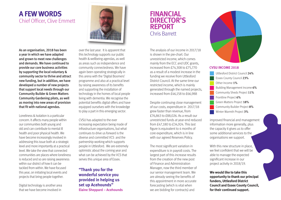# **A Few wORDS** Chief Officer, Clive Emmett

As an organisation, 2018 has been a year in which we have adapted and grown to meet new challenges and demands. We have continued to provide our core business activities by supporting the local voluntary & community sector to thrive and attract new funding, but in addition, we have developed a number of new projects that support local needs through our Community Builder & Green Matters Community Gardening pilots, as well as moving into new areas of provision that fit with national agendas.

Loneliness & Isolation is a particular concern. It affects many people within our communities both young and old and can contribute to mental ill health and poor physical health. We have become increasingly involved in addressing this issue both at a strategic level and more importantly at a practical level. We take the view that connected communities are places where loneliness is reduced and so are raising awareness within our district of how it can be tackled from within. We have focused this year, on initiating local events and projects that bring people together.

Digital technology is another area that we have become involved in



over the last year. It is apparent that this technology supports our public health & wellbeing agendas, as well as areas such as independence and community connectedness. We have again been operating strategically in this arena with the 'Digital Boomers' programme and also at a practical level by raising awareness of its benefits and supporting the installation of technology in the homes of local people living with dementia. We recognise the potential benefits digital offers and have equipped ourselves with the knowledge to play a part in this emerging sector.

CVSU has adapted to the ever increasing expectation being made of infrastructure organisations, but what continues to drive us forward is the diverse and committed VCS and the partnership working which supports people in Uttlesford. We are extremely optimistic about the coming year and what can be achieved by the VCS that serves this unique area of Essex.

**"Thank you for the wonderful service you provided in helping us set up Acehounds" elaine Sheppard – Acehounds**

### **FinAnCiAl DiReCTOR'S RePORT** Chris Barrett

The analysis of our income in 2017/18 is shown in the pie-chart. Our unrestricted income, which comes mainly from the ECC and UDC grants, increased from £74,308 to £75,770 as a result of a modest increase in the funding we receive from Uttlesford District Council. At the same time our restricted income, which is mainly generated through the named projects, increased from £46,158 to £66,988

Despite continuing close management of our costs, expenditure in 2017/18 grew faster than revenue, from £76,863 to £88,026. As a result our unrestricted funds at year-end reduced from £47,180 to £34,924. This last figure is equivalent to 4 months of core expenditure, which is in line with our agreed Reserves Policy.

The most significant variation in expenditure is in payroll costs. The largest part of this increase results from the creation of the new post of Finance and Administration Manager, now the third member of our senior management team. We are already seeing the benefits of this appointment in more accurate forecasting (which is vital when we are bidding for contracts) and



#### **CvSu inCOMe 2018**

Uttlesford District Council 24% Essex County Council 23% Other Income 1% Building Management Income 6% Community Sheds Project 11% Frontline Project 6% Green Matters Project 18% Community Builder Project 8% Winter Warmth Project 3%

improved financial and management information more generally, plus the capacity it gives us to offer some additional services to the organisations we support.

With this new structure in place. we feel confident that we will be able to manage the expected significant increase in our project activity in 2018/19.

**we would like to take this opportunity to thank our principal funders, uttlesford District Council and essex County Council, for their continued support.**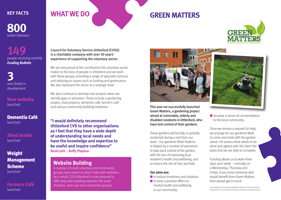**800** twitter followers

**149** people receiving monthly *Funding Bulletin*

**3** new Sheds in development

New website launched

Dementia Café launched

Shed Inside launched

### Weight Management Scheme launched

Farmers Café launched

## **KEY FACTS WHAT WE DO**

# **GReen MATTeRS**



Council for Voluntary Service Uttlesford (CVSU) is a charitable company with over 30 years' experience of supporting the voluntary sector.

We are very proud of the contribution the voluntary sector makes to the lives of people in Uttlesford and we work with these groups, providing a range of specialist services and advising on issues such as funding and governance. We also represent the sector at a strategic level.

We also continue to develop new projects when we identify gaps in provision. These include a gardening project, shed projects, dementia café, farmer's café and various community building initiatives. This year we successfully launched

"I would definitely recommend **uttlesford CvS to other organisations as i feel that they have a wide depth of understanding local needs and have the knowledge and expertise to be useful and inspire confidence" Rosie Juhl – Buffy Playbus**

### **website Building**

A number of small voluntary and community groups have asked us about help with websites. As a result, CVS Uttlesford is now pleased to offer help with building websites for small charities, start-ups and community groups.



Green Matters, a gardening project aimed at vulnerable, elderly and disabled residents in Uttlesford, who have lost control of their gardens.

These gardens will be fully or partially reclaimed during a visit from our team. Our gardener Mark Ropkins is helped by a number of volunteers to take back control of the garden, with the aim of improving local resident's health and wellbeing, and to reduce the risk of trips and falls.

#### **Our aims are:**

- $\bullet$  to reduce loneliness and isolation:
- $\bullet$  to have a positive effect on mental health and wellbeing in our community;



● increase a sense of connectedness to the local community.

Once we receive a request for help, we arrange for our gardener Mark to come and meet with the garden owner. He assess what needs to be done and agrees with the client the tasks that we are able to complete.

Funding allows us to work three days each week – normally on a Wednesday, Thursday and Friday. If you know someone who would benefit from Green Matters then please get in touch.

Green Matters is funded by Uttlesford District Council and Essex County Council Local Service Fund & Community Initiatives Fund).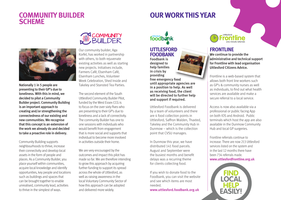### **COMMuniTY BuilDeR SCheMe**

# **OuR wORk ThiS YeAR**



Nationally 1 in 5 people are presenting to their GP's due to loneliness. With this in mind, we decided to pilot a Community Builder project. Community Building is an important approach to creating and/or strengthening the connectedness of our existing and new communities. We recognise that this concept is an extension of the work we already do and decided to take a proactive role in delivery.

Community Building supports neighbourhoods to thrive, increase their connectivity and develop local assets in the form of people and places. As a Community Builder, you place yourself within communities, acquire local knowledge and identify opportunities, key people and locations such as buildings and spaces that can be brought together to enable unrealised, community lead, activities to thrive in the simplest of ways.



Our community builder, Aga Korfel, has worked in partnership with others, to both rejuvenate existing activities as well as starting new projects. Initiatives include, Farmers Café, Elsenham Café, Elsenham Lunches, Volunteer Week Celebration, Shed Inside and Takeley and Stansted Tea Parties.

The second element of the South Uttlesford Community Builder Pilot, funded by the West Essex CCG is to focus on the over sixty fives who are presenting to their GP's due to loneliness and a lack of connectivity. The community Builder has one to one sessions with individuals who would benefit from engagement that is more social and supports that individual to become more involved in activities outside their home.

We are very encouraged by the outcomes and impact this pilot has made so far. We are therefore intending to grow this approach by acquiring further funding to support its spread across the whole of Uttlesford, as well as raising awareness in the local Voluntary Community Sector of how this approach can be adopted and delivered more widely.



### **uTTleSFORD FOODBAnk**

Foodbank is designed to help families in crisis by providing free emergency food until appropriate agencies are in a position to help. As well as receiving food, the client will be directed to further help and support if required.

Uttlesford Foodbank is delivered by a team of volunteers and there are 4 food collection points in Uttlesford; Saffron Walden, Thaxted, Takeley and the Community Hub in Dunmow – which is the collection point that CVSU manages.

In Dunmow this year, we have distributed 141 food parcels. August and September were the busiest months and benefit delays was a recurring theme for clients collecting food.

If you wish to donate food to the Foodbank, you can visit the website and see which items are most needed. **www.uttlesford.foodbank.org.uk**



### **FROnTline**

We continue to provide the administrative and technical support for Frontline with lead organisation Uttlesford Citizens Advice.

Frontline is a web-based system that allows both front line workers such as GP's & community nurses as well as individuals, to find out what health services are available and make a secure referral to a local service.

Access is now also available via a professional or public facing App on both IOS and Android. Public terminals which host the app are also available in the Dunmow Community Hub and local GP surgeries.

Frontline referrals continue to increase. There are now 213 Uttlesford services listed on the system and in the last 12 months there have been 734 referrals made. **www.uttlesfordfrontline.org.uk**

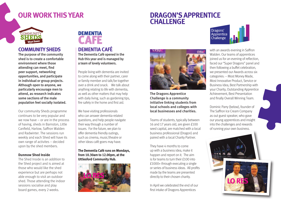# **OuR wORk ThiS YeAR**

# **DRAGOn'S APPRenTiCe ChAllenGe**



### **COMMuniTY SheDS**

The purpose of the community shed is to create a comfortable environment where those attending can meet, find peer support, networking opportunities, and participate in individual or group projects. Although open to anyone, we particularly encourage men to attend, as research indicates some sections of the male population feel socially isolated.

Our community Sheds programme continues to be very popular and we now have – or are in the process of having, sheds in Barnston, Little Canfield, Harlow, Saffron Walden and Radwinter. The sessions run weekly and each Shed will have its own range of activites – decided upon by the shed members.

#### **Dunmow Shed inside**

The Shed Inside is an addition to the Shed project and is aimed at those who would like the shed experience but are perhaps not able enough to visit an outdoor shed. Those attending the indoor sessions socialise and play board games, every 2 weeks.



### **DeMenTiA CAFÉ**

The Dementia Café opened in the Hub this year and is managed by a team of lovely volunteers.

People living with dementia are invited to come along with their partner, carer or family member and talk/be together over a drink and snack. We talk about anything relating to life with dementia, as well as other matters that may help with daily living, such as gardening tips, fire safety in the home and first aid.

We have visiting professionals who can answer dementia-related questions, and help people navigate their way through a number of issues. For the future, we plan to offer dementia friendly outings, such as cinema, music/theatre or other ideas café goers may have.

#### **The Dementia Café runs on Mondays, from 10.30am to 12.00pm, at the uttlesford Community hub.**





The Dragons Apprentice Challenge is a community initiative linking students from local schools and colleges with local businesses and charities.

Teams of students, typically between 16 and 17 years old, are given £100 seed capital, are matched with a local business professional (Dragon) and paired with a local Charity Partner.

They have 4 months to come up with a business idea, make it happen and report on it. The aim is for teams to turn their £100 into £1000+ through executing a single or series of business ideas. All profits made by the teams are presented directly to their chosen charity.

In April we celebrated the end of our first intake of Dragons Apprentices



with an awards evening in Saffron Walden. Our teams of apprentices joined us for an evening of reflection, faced our "Super Dragons" panel and then following a buffet celebration, we presented our Awards across six categories: – Most Money Made, Most Innovative Product, Service or Business Idea, Best Partnership with your Charity, Outstanding Apprentice Achievement, Best Presentation and finally Overall Winning Team.

Dominic Parry (below), founder of The Saffron Ice Cream Company as out guest speaker, who gave our young apprentices and insight into the challenges and rewards of running your own business.